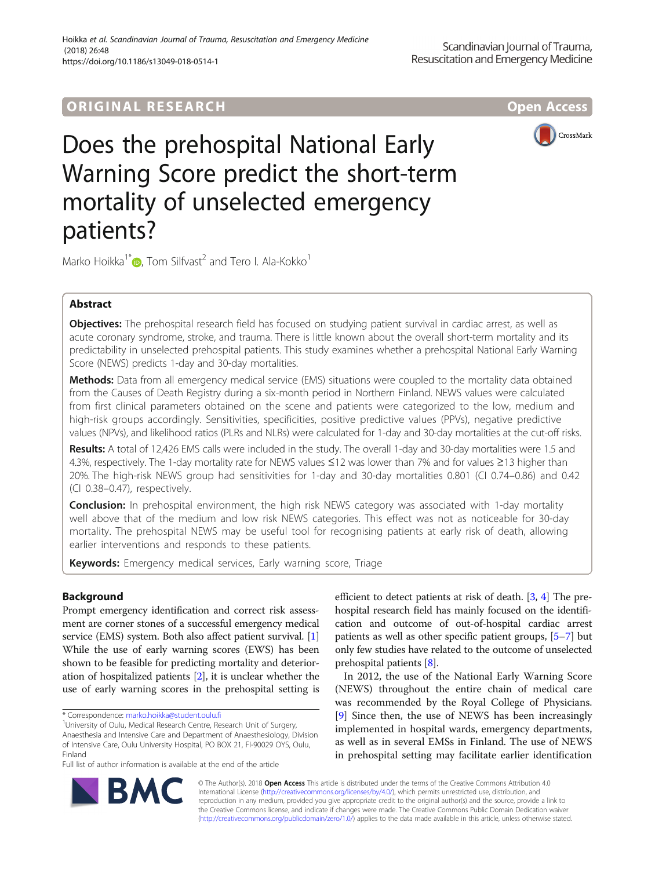# **ORIGINAL RESEARCH CONFIDENTIAL CONTRACT CONTRACT OPEN ACCESS**



# Does the prehospital National Early Warning Score predict the short-term mortality of unselected emergency patients?

Marko Hoikka<sup>1\*</sup> $\bullet$ [,](http://orcid.org/0000-0002-2950-3571) Tom Silfvast<sup>2</sup> and Tero I. Ala-Kokko<sup>1</sup>

# Abstract

**Objectives:** The prehospital research field has focused on studying patient survival in cardiac arrest, as well as acute coronary syndrome, stroke, and trauma. There is little known about the overall short-term mortality and its predictability in unselected prehospital patients. This study examines whether a prehospital National Early Warning Score (NEWS) predicts 1-day and 30-day mortalities.

Methods: Data from all emergency medical service (EMS) situations were coupled to the mortality data obtained from the Causes of Death Registry during a six-month period in Northern Finland. NEWS values were calculated from first clinical parameters obtained on the scene and patients were categorized to the low, medium and high-risk groups accordingly. Sensitivities, specificities, positive predictive values (PPVs), negative predictive values (NPVs), and likelihood ratios (PLRs and NLRs) were calculated for 1-day and 30-day mortalities at the cut-off risks.

Results: A total of 12,426 EMS calls were included in the study. The overall 1-day and 30-day mortalities were 1.5 and 4.3%, respectively. The 1-day mortality rate for NEWS values ≤12 was lower than 7% and for values ≥13 higher than 20%. The high-risk NEWS group had sensitivities for 1-day and 30-day mortalities 0.801 (CI 0.74–0.86) and 0.42 (CI 0.38–0.47), respectively.

**Conclusion:** In prehospital environment, the high risk NEWS category was associated with 1-day mortality well above that of the medium and low risk NEWS categories. This effect was not as noticeable for 30-day mortality. The prehospital NEWS may be useful tool for recognising patients at early risk of death, allowing earlier interventions and responds to these patients.

Keywords: Emergency medical services, Early warning score, Triage

# Background

Prompt emergency identification and correct risk assessment are corner stones of a successful emergency medical service (EMS) system. Both also affect patient survival. [[1](#page-5-0)] While the use of early warning scores (EWS) has been shown to be feasible for predicting mortality and deterioration of hospitalized patients [\[2\]](#page-5-0), it is unclear whether the use of early warning scores in the prehospital setting is



In 2012, the use of the National Early Warning Score (NEWS) throughout the entire chain of medical care was recommended by the Royal College of Physicians. [[9\]](#page-5-0) Since then, the use of NEWS has been increasingly implemented in hospital wards, emergency departments, as well as in several EMSs in Finland. The use of NEWS in prehospital setting may facilitate earlier identification



© The Author(s). 2018 Open Access This article is distributed under the terms of the Creative Commons Attribution 4.0 International License [\(http://creativecommons.org/licenses/by/4.0/](http://creativecommons.org/licenses/by/4.0/)), which permits unrestricted use, distribution, and reproduction in any medium, provided you give appropriate credit to the original author(s) and the source, provide a link to the Creative Commons license, and indicate if changes were made. The Creative Commons Public Domain Dedication waiver [\(http://creativecommons.org/publicdomain/zero/1.0/](http://creativecommons.org/publicdomain/zero/1.0/)) applies to the data made available in this article, unless otherwise stated.

<sup>\*</sup> Correspondence: [marko.hoikka@student.oulu.fi](mailto:marko.hoikka@student.oulu.fi) <sup>1</sup>

<sup>&</sup>lt;sup>1</sup>University of Oulu, Medical Research Centre, Research Unit of Surgery, Anaesthesia and Intensive Care and Department of Anaesthesiology, Division of Intensive Care, Oulu University Hospital, PO BOX 21, FI-90029 OYS, Oulu, Finland

Full list of author information is available at the end of the article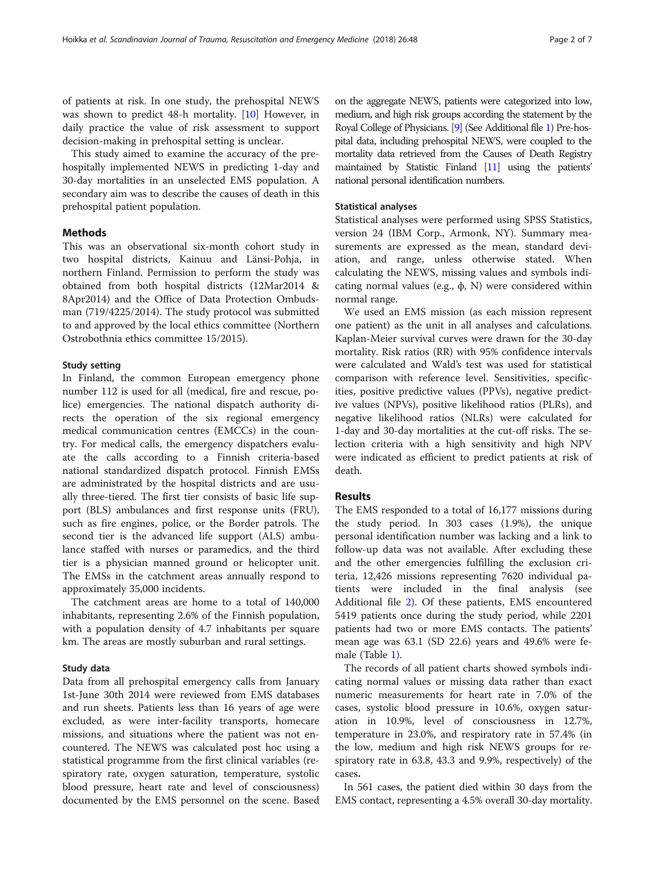of patients at risk. In one study, the prehospital NEWS was shown to predict 48-h mortality. [[10\]](#page-6-0) However, in daily practice the value of risk assessment to support decision-making in prehospital setting is unclear.

This study aimed to examine the accuracy of the prehospitally implemented NEWS in predicting 1-day and 30-day mortalities in an unselected EMS population. A secondary aim was to describe the causes of death in this prehospital patient population.

# Methods

This was an observational six-month cohort study in two hospital districts, Kainuu and Länsi-Pohja, in northern Finland. Permission to perform the study was obtained from both hospital districts (12Mar2014 & 8Apr2014) and the Office of Data Protection Ombudsman (719/4225/2014). The study protocol was submitted to and approved by the local ethics committee (Northern Ostrobothnia ethics committee 15/2015).

# Study setting

In Finland, the common European emergency phone number 112 is used for all (medical, fire and rescue, police) emergencies. The national dispatch authority directs the operation of the six regional emergency medical communication centres (EMCCs) in the country. For medical calls, the emergency dispatchers evaluate the calls according to a Finnish criteria-based national standardized dispatch protocol. Finnish EMSs are administrated by the hospital districts and are usually three-tiered. The first tier consists of basic life support (BLS) ambulances and first response units (FRU), such as fire engines, police, or the Border patrols. The second tier is the advanced life support (ALS) ambulance staffed with nurses or paramedics, and the third tier is a physician manned ground or helicopter unit. The EMSs in the catchment areas annually respond to approximately 35,000 incidents.

The catchment areas are home to a total of 140,000 inhabitants, representing 2.6% of the Finnish population, with a population density of 4.7 inhabitants per square km. The areas are mostly suburban and rural settings.

### Study data

Data from all prehospital emergency calls from January 1st-June 30th 2014 were reviewed from EMS databases and run sheets. Patients less than 16 years of age were excluded, as were inter-facility transports, homecare missions, and situations where the patient was not encountered. The NEWS was calculated post hoc using a statistical programme from the first clinical variables (respiratory rate, oxygen saturation, temperature, systolic blood pressure, heart rate and level of consciousness) documented by the EMS personnel on the scene. Based on the aggregate NEWS, patients were categorized into low, medium, and high risk groups according the statement by the Royal College of Physicians. [\[9\]](#page-5-0) (See Additional file [1\)](#page-5-0) Pre-hospital data, including prehospital NEWS, were coupled to the mortality data retrieved from the Causes of Death Registry maintained by Statistic Finland [\[11](#page-6-0)] using the patients' national personal identification numbers.

# Statistical analyses

Statistical analyses were performed using SPSS Statistics, version 24 (IBM Corp., Armonk, NY). Summary measurements are expressed as the mean, standard deviation, and range, unless otherwise stated. When calculating the NEWS, missing values and symbols indicating normal values (e.g.,  $φ$ , N) were considered within normal range.

We used an EMS mission (as each mission represent one patient) as the unit in all analyses and calculations. Kaplan-Meier survival curves were drawn for the 30-day mortality. Risk ratios (RR) with 95% confidence intervals were calculated and Wald's test was used for statistical comparison with reference level. Sensitivities, specificities, positive predictive values (PPVs), negative predictive values (NPVs), positive likelihood ratios (PLRs), and negative likelihood ratios (NLRs) were calculated for 1-day and 30-day mortalities at the cut-off risks. The selection criteria with a high sensitivity and high NPV were indicated as efficient to predict patients at risk of death.

# Results

The EMS responded to a total of 16,177 missions during the study period. In 303 cases (1.9%), the unique personal identification number was lacking and a link to follow-up data was not available. After excluding these and the other emergencies fulfilling the exclusion criteria, 12,426 missions representing 7620 individual patients were included in the final analysis (see Additional file [2](#page-5-0)). Of these patients, EMS encountered 5419 patients once during the study period, while 2201 patients had two or more EMS contacts. The patients' mean age was 63.1 (SD 22.6) years and 49.6% were female (Table [1](#page-2-0)).

The records of all patient charts showed symbols indicating normal values or missing data rather than exact numeric measurements for heart rate in 7.0% of the cases, systolic blood pressure in 10.6%, oxygen saturation in 10.9%, level of consciousness in 12.7%, temperature in 23.0%, and respiratory rate in 57.4% (in the low, medium and high risk NEWS groups for respiratory rate in 63.8, 43.3 and 9.9%, respectively) of the cases.

In 561 cases, the patient died within 30 days from the EMS contact, representing a 4.5% overall 30-day mortality.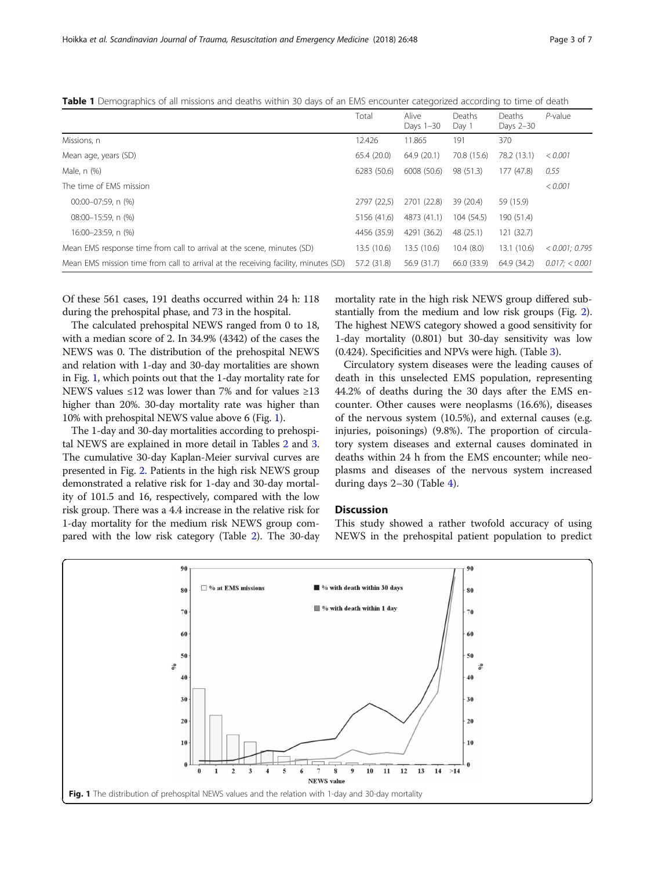|                                                                                    | Total       | Alive<br>Days 1-30 | Deaths<br>Day 1 | Deaths<br>Days 2-30 | $P$ -value        |
|------------------------------------------------------------------------------------|-------------|--------------------|-----------------|---------------------|-------------------|
| Missions, n                                                                        | 12.426      | 11.865             | 191             | 370                 |                   |
| Mean age, years (SD)                                                               | 65.4 (20.0) | 64.9 (20.1)        | 70.8 (15.6)     | 78.2 (13.1)         | < 0.001           |
| Male, n (%)                                                                        | 6283 (50.6) | 6008 (50.6)        | 98 (51.3)       | 177 (47.8)          | 0.55              |
| The time of FMS mission                                                            |             |                    |                 |                     | < 0.001           |
| $00:00-07:59$ . n $(%)$                                                            | 2797 (22,5) | 2701 (22.8)        | 39 (20.4)       | 59 (15.9)           |                   |
| 08:00-15:59, n (%)                                                                 | 5156 (41.6) | 4873 (41.1)        | 104 (54.5)      | 190 (51.4)          |                   |
| 16:00-23:59, n (%)                                                                 | 4456 (35.9) | 4291 (36.2)        | 48 (25.1)       | 121(32.7)           |                   |
| Mean EMS response time from call to arrival at the scene, minutes (SD)             | 13.5 (10.6) | 13.5(10.6)         | 10.4(8.0)       | 13.1 (10.6)         | $< 0.001$ : 0.795 |
| Mean EMS mission time from call to arrival at the receiving facility, minutes (SD) | 57.2 (31.8) | 56.9 (31.7)        | 66.0 (33.9)     | 64.9 (34.2)         | 0.017: < 0.001    |

<span id="page-2-0"></span>Table 1 Demographics of all missions and deaths within 30 days of an EMS encounter categorized according to time of death

Of these 561 cases, 191 deaths occurred within 24 h: 118 during the prehospital phase, and 73 in the hospital.

The calculated prehospital NEWS ranged from 0 to 18, with a median score of 2. In 34.9% (4342) of the cases the NEWS was 0. The distribution of the prehospital NEWS and relation with 1-day and 30-day mortalities are shown in Fig. 1, which points out that the 1-day mortality rate for NEWS values ≤12 was lower than 7% and for values ≥13 higher than 20%. 30-day mortality rate was higher than 10% with prehospital NEWS value above 6 (Fig. 1).

The 1-day and 30-day mortalities according to prehospital NEWS are explained in more detail in Tables [2](#page-3-0) and [3](#page-3-0). The cumulative 30-day Kaplan-Meier survival curves are presented in Fig. [2.](#page-4-0) Patients in the high risk NEWS group demonstrated a relative risk for 1-day and 30-day mortality of 101.5 and 16, respectively, compared with the low risk group. There was a 4.4 increase in the relative risk for 1-day mortality for the medium risk NEWS group compared with the low risk category (Table [2](#page-3-0)). The 30-day mortality rate in the high risk NEWS group differed substantially from the medium and low risk groups (Fig. [2](#page-4-0)). The highest NEWS category showed a good sensitivity for 1-day mortality (0.801) but 30-day sensitivity was low (0.424). Specificities and NPVs were high. (Table [3](#page-3-0)).

Circulatory system diseases were the leading causes of death in this unselected EMS population, representing 44.2% of deaths during the 30 days after the EMS encounter. Other causes were neoplasms (16.6%), diseases of the nervous system (10.5%), and external causes (e.g. injuries, poisonings) (9.8%). The proportion of circulatory system diseases and external causes dominated in deaths within 24 h from the EMS encounter; while neoplasms and diseases of the nervous system increased during days 2–30 (Table [4](#page-4-0)).

# **Discussion**

This study showed a rather twofold accuracy of using NEWS in the prehospital patient population to predict

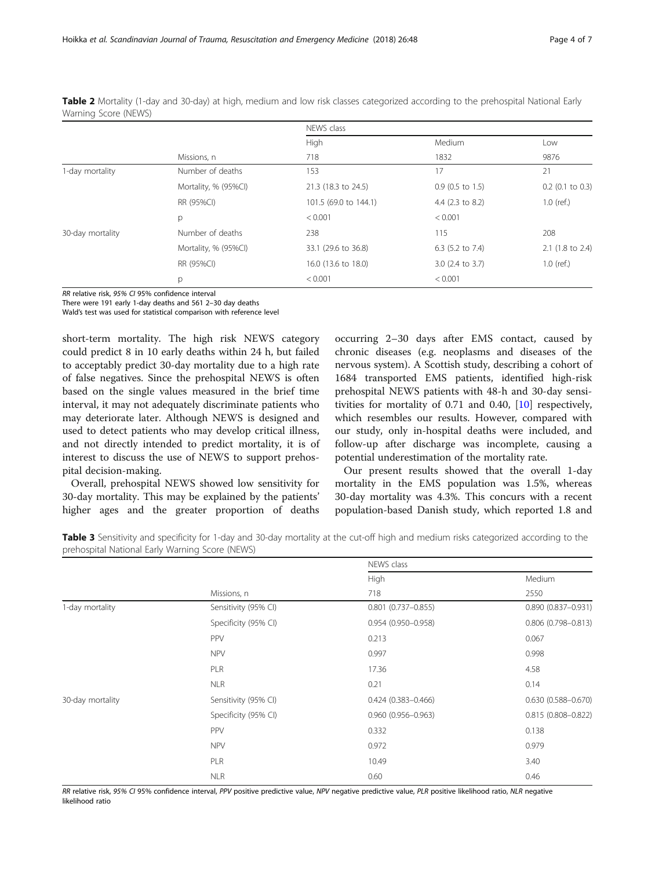| <b>VVAITING JUDIC (IVEVVJ)</b> |                      | NEWS class            |                             |                    |  |
|--------------------------------|----------------------|-----------------------|-----------------------------|--------------------|--|
|                                |                      | High                  | Medium                      | Low                |  |
|                                | Missions, n          | 718                   | 1832                        | 9876               |  |
| 1-day mortality                | Number of deaths     | 153                   | 17                          | 21                 |  |
|                                | Mortality, % (95%Cl) | 21.3 (18.3 to 24.5)   | $0.9$ (0.5 to 1.5)          | $0.2$ (0.1 to 0.3) |  |
|                                | RR (95%CI)           | 101.5 (69.0 to 144.1) | 4.4 (2.3 to 8.2)            | $1.0$ (ref.)       |  |
|                                | p                    | < 0.001               | < 0.001                     |                    |  |
| 30-day mortality               | Number of deaths     | 238                   | 115                         | 208                |  |
|                                | Mortality, % (95%Cl) | 33.1 (29.6 to 36.8)   | 6.3 $(5.2 \text{ to } 7.4)$ | 2.1 (1.8 to 2.4)   |  |
|                                | RR (95%CI)           | 16.0 (13.6 to 18.0)   | 3.0 (2.4 to 3.7)            | $1.0$ (ref.)       |  |
|                                | p                    | < 0.001               | < 0.001                     |                    |  |

<span id="page-3-0"></span>Table 2 Mortality (1-day and 30-day) at high, medium and low risk classes categorized according to the prehospital National Early Warning Score (NEWS)

RR relative risk, 95% CI 95% confidence interval

There were 191 early 1-day deaths and 561 2–30 day deaths

Wald's test was used for statistical comparison with reference level

short-term mortality. The high risk NEWS category could predict 8 in 10 early deaths within 24 h, but failed to acceptably predict 30-day mortality due to a high rate of false negatives. Since the prehospital NEWS is often based on the single values measured in the brief time interval, it may not adequately discriminate patients who may deteriorate later. Although NEWS is designed and used to detect patients who may develop critical illness, and not directly intended to predict mortality, it is of interest to discuss the use of NEWS to support prehospital decision-making.

Overall, prehospital NEWS showed low sensitivity for 30-day mortality. This may be explained by the patients' higher ages and the greater proportion of deaths occurring 2–30 days after EMS contact, caused by chronic diseases (e.g. neoplasms and diseases of the nervous system). A Scottish study, describing a cohort of 1684 transported EMS patients, identified high-risk prehospital NEWS patients with 48-h and 30-day sensitivities for mortality of 0.71 and 0.40, [[10\]](#page-6-0) respectively, which resembles our results. However, compared with our study, only in-hospital deaths were included, and follow-up after discharge was incomplete, causing a potential underestimation of the mortality rate.

Our present results showed that the overall 1-day mortality in the EMS population was 1.5%, whereas 30-day mortality was 4.3%. This concurs with a recent population-based Danish study, which reported 1.8 and

Table 3 Sensitivity and specificity for 1-day and 30-day mortality at the cut-off high and medium risks categorized according to the prehospital National Early Warning Score (NEWS)

|                  |                      | NEWS class                |                        |  |  |
|------------------|----------------------|---------------------------|------------------------|--|--|
|                  |                      | High                      | Medium<br>2550         |  |  |
|                  | Missions, n          | 718                       |                        |  |  |
| 1-day mortality  | Sensitivity (95% CI) | $0.801$ $(0.737 - 0.855)$ | $0.890(0.837 - 0.931)$ |  |  |
|                  | Specificity (95% CI) | 0.954 (0.950-0.958)       | 0.806 (0.798-0.813)    |  |  |
|                  | PPV                  | 0.213                     | 0.067                  |  |  |
|                  | <b>NPV</b>           | 0.997                     | 0.998                  |  |  |
|                  | PLR                  | 17.36                     | 4.58                   |  |  |
|                  | <b>NLR</b>           | 0.21                      | 0.14                   |  |  |
| 30-day mortality | Sensitivity (95% CI) | $0.424(0.383 - 0.466)$    | $0.630(0.588 - 0.670)$ |  |  |
|                  | Specificity (95% CI) | $0.960(0.956 - 0.963)$    | 0.815 (0.808-0.822)    |  |  |
|                  | PPV                  | 0.332                     | 0.138                  |  |  |
|                  | <b>NPV</b>           | 0.972                     | 0.979                  |  |  |
|                  | PLR                  | 10.49                     | 3.40                   |  |  |
|                  | <b>NLR</b>           | 0.60                      | 0.46                   |  |  |

RR relative risk, 95% CI 95% confidence interval, PPV positive predictive value, NPV negative predictive value, PLR positive likelihood ratio, NLR negative likelihood ratio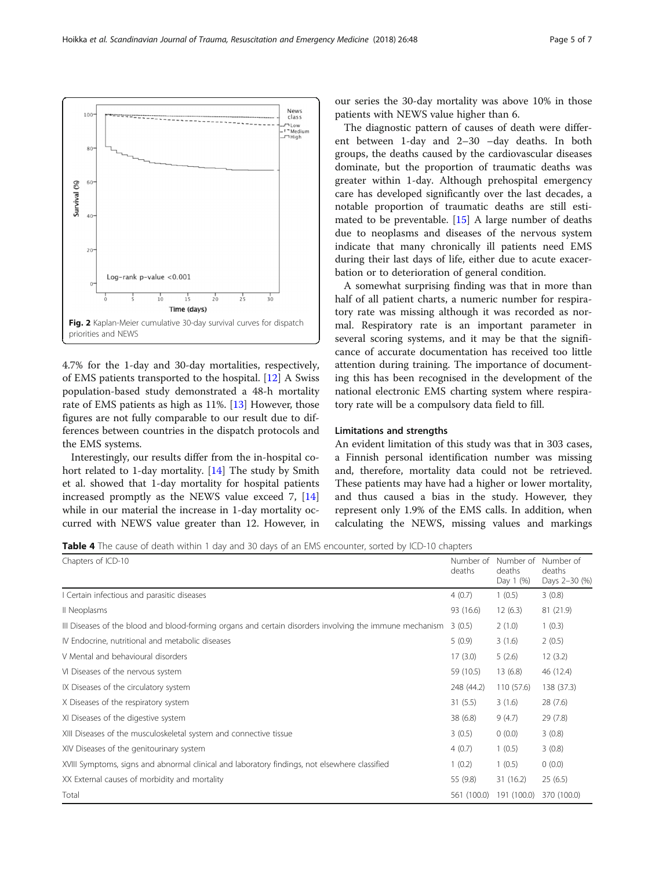<span id="page-4-0"></span>

4.7% for the 1-day and 30-day mortalities, respectively, of EMS patients transported to the hospital. [[12\]](#page-6-0) A Swiss population-based study demonstrated a 48-h mortality rate of EMS patients as high as 11%. [[13\]](#page-6-0) However, those figures are not fully comparable to our result due to differences between countries in the dispatch protocols and the EMS systems.

Interestingly, our results differ from the in-hospital cohort related to 1-day mortality. [\[14\]](#page-6-0) The study by Smith et al. showed that 1-day mortality for hospital patients increased promptly as the NEWS value exceed 7, [[14](#page-6-0)] while in our material the increase in 1-day mortality occurred with NEWS value greater than 12. However, in

our series the 30-day mortality was above 10% in those patients with NEWS value higher than 6.

The diagnostic pattern of causes of death were different between 1-day and 2–30 –day deaths. In both groups, the deaths caused by the cardiovascular diseases dominate, but the proportion of traumatic deaths was greater within 1-day. Although prehospital emergency care has developed significantly over the last decades, a notable proportion of traumatic deaths are still estimated to be preventable. [[15\]](#page-6-0) A large number of deaths due to neoplasms and diseases of the nervous system indicate that many chronically ill patients need EMS during their last days of life, either due to acute exacerbation or to deterioration of general condition.

A somewhat surprising finding was that in more than half of all patient charts, a numeric number for respiratory rate was missing although it was recorded as normal. Respiratory rate is an important parameter in several scoring systems, and it may be that the significance of accurate documentation has received too little attention during training. The importance of documenting this has been recognised in the development of the national electronic EMS charting system where respiratory rate will be a compulsory data field to fill.

# Limitations and strengths

An evident limitation of this study was that in 303 cases, a Finnish personal identification number was missing and, therefore, mortality data could not be retrieved. These patients may have had a higher or lower mortality, and thus caused a bias in the study. However, they represent only 1.9% of the EMS calls. In addition, when calculating the NEWS, missing values and markings

Table 4 The cause of death within 1 day and 30 days of an EMS encounter, sorted by ICD-10 chapters

| Chapters of ICD-10                                                                                      | Number of<br>deaths | Number of<br>deaths<br>Day 1 (%) | Number of<br>deaths<br>Days 2-30 (%) |
|---------------------------------------------------------------------------------------------------------|---------------------|----------------------------------|--------------------------------------|
| I Certain infectious and parasitic diseases                                                             | 4(0.7)              | 1(0.5)                           | 3(0.8)                               |
| Il Neoplasms                                                                                            | 93 (16.6)           | 12(6.3)                          | 81 (21.9)                            |
| III Diseases of the blood and blood-forming organs and certain disorders involving the immune mechanism | 3(0.5)              | 2(1.0)                           | 1(0.3)                               |
| IV Endocrine, nutritional and metabolic diseases                                                        | 5(0.9)              | 3(1.6)                           | 2(0.5)                               |
| V Mental and behavioural disorders                                                                      | 17(3.0)             | 5(2.6)                           | 12(3.2)                              |
| VI Diseases of the nervous system                                                                       | 59 (10.5)           | 13(6.8)                          | 46 (12.4)                            |
| IX Diseases of the circulatory system                                                                   | 248 (44.2)          | 110(57.6)                        | 138 (37.3)                           |
| X Diseases of the respiratory system                                                                    | 31(5.5)             | 3(1.6)                           | 28(7.6)                              |
| XI Diseases of the digestive system                                                                     | 38 (6.8)            | 9(4.7)                           | 29(7.8)                              |
| XIII Diseases of the musculoskeletal system and connective tissue                                       | 3(0.5)              | 0(0.0)                           | 3(0.8)                               |
| XIV Diseases of the genitourinary system                                                                | 4(0.7)              | 1(0.5)                           | 3(0.8)                               |
| XVIII Symptoms, signs and abnormal clinical and laboratory findings, not elsewhere classified           | 1(0.2)              | 1(0.5)                           | 0(0.0)                               |
| XX External causes of morbidity and mortality                                                           | 55 (9.8)            | 31(16.2)                         | 25(6.5)                              |
| Total                                                                                                   | 561 (100.0)         | 191 (100.0)                      | 370 (100.0)                          |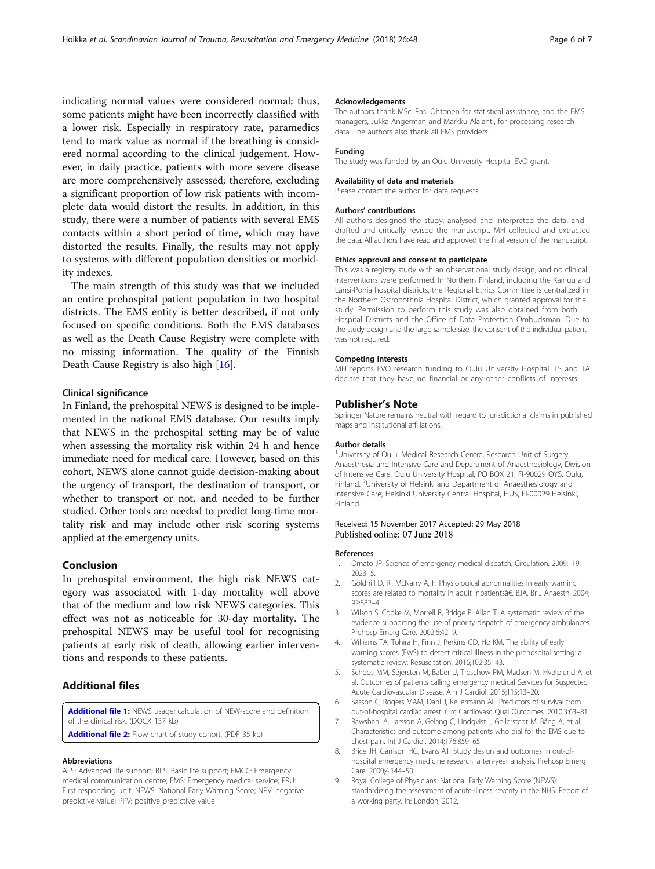<span id="page-5-0"></span>indicating normal values were considered normal; thus, some patients might have been incorrectly classified with a lower risk. Especially in respiratory rate, paramedics tend to mark value as normal if the breathing is considered normal according to the clinical judgement. However, in daily practice, patients with more severe disease are more comprehensively assessed; therefore, excluding a significant proportion of low risk patients with incomplete data would distort the results. In addition, in this study, there were a number of patients with several EMS contacts within a short period of time, which may have distorted the results. Finally, the results may not apply to systems with different population densities or morbidity indexes.

The main strength of this study was that we included an entire prehospital patient population in two hospital districts. The EMS entity is better described, if not only focused on specific conditions. Both the EMS databases as well as the Death Cause Registry were complete with no missing information. The quality of the Finnish Death Cause Registry is also high [\[16](#page-6-0)].

# Clinical significance

In Finland, the prehospital NEWS is designed to be implemented in the national EMS database. Our results imply that NEWS in the prehospital setting may be of value when assessing the mortality risk within 24 h and hence immediate need for medical care. However, based on this cohort, NEWS alone cannot guide decision-making about the urgency of transport, the destination of transport, or whether to transport or not, and needed to be further studied. Other tools are needed to predict long-time mortality risk and may include other risk scoring systems applied at the emergency units.

# Conclusion

In prehospital environment, the high risk NEWS category was associated with 1-day mortality well above that of the medium and low risk NEWS categories. This effect was not as noticeable for 30-day mortality. The prehospital NEWS may be useful tool for recognising patients at early risk of death, allowing earlier interventions and responds to these patients.

# Additional files

[Additional file 1:](https://doi.org/10.1186/s13049-018-0514-1) NEWS usage; calculation of NEW-score and definition of the clinical risk. (DOCX 137 kb)

# [Additional file 2:](https://doi.org/10.1186/s13049-018-0514-1) Flow chart of study cohort. (PDF 35 kb)

# Abbreviations

ALS: Advanced life support; BLS: Basic life support; EMCC: Emergency medical communication centre; EMS: Emergency medical service; FRU: First responding unit; NEWS: National Early Warning Score; NPV: negative predictive value; PPV: positive predictive value

#### Acknowledgements

The authors thank MSc. Pasi Ohtonen for statistical assistance, and the EMS managers, Jukka Angerman and Markku Alalahti, for processing research data. The authors also thank all EMS providers.

#### Funding

The study was funded by an Oulu University Hospital EVO grant.

#### Please contact the author for data requests.

Availability of data and materials

#### Authors' contributions

All authors designed the study, analysed and interpreted the data, and drafted and critically revised the manuscript. MH collected and extracted the data. All authors have read and approved the final version of the manuscript.

#### Ethics approval and consent to participate

This was a registry study with an observational study design, and no clinical interventions were performed. In Northern Finland, including the Kainuu and Länsi-Pohja hospital districts, the Regional Ethics Committee is centralized in the Northern Ostrobothnia Hospital District, which granted approval for the study. Permission to perform this study was also obtained from both Hospital Districts and the Office of Data Protection Ombudsman. Due to the study design and the large sample size, the consent of the individual patient was not required.

#### Competing interests

MH reports EVO research funding to Oulu University Hospital. TS and TA declare that they have no financial or any other conflicts of interests.

## Publisher's Note

Springer Nature remains neutral with regard to jurisdictional claims in published maps and institutional affiliations.

#### Author details

<sup>1</sup>University of Oulu, Medical Research Centre, Research Unit of Surgery, Anaesthesia and Intensive Care and Department of Anaesthesiology, Division of Intensive Care, Oulu University Hospital, PO BOX 21, FI-90029 OYS, Oulu, Finland. <sup>2</sup>University of Helsinki and Department of Anaesthesiology and Intensive Care, Helsinki University Central Hospital, HUS, FI-00029 Helsinki, Finland.

# Received: 15 November 2017 Accepted: 29 May 2018 Published online: 07 June 2018

## References

- 1. Ornato JP. Science of emergency medical dispatch. Circulation. 2009;119: 2023–5.
- 2. Goldhill D, R., McNarry A, F. Physiological abnormalities in early warning scores are related to mortality in adult inpatientsâ€. BJA. Br J Anaesth. 2004; 92:882–4.
- 3. Wilson S, Cooke M, Morrell R, Bridge P. Allan T. A systematic review of the evidence supporting the use of priority dispatch of emergency ambulances. Prehosp Emerg Care. 2002;6:42–9.
- 4. Williams TA, Tohira H, Finn J, Perkins GD, Ho KM. The ability of early warning scores (EWS) to detect critical illness in the prehospital setting: a systematic review. Resuscitation. 2016;102:35–43.
- 5. Schoos MM, Sejersten M, Baber U, Treschow PM, Madsen M, Hvelplund A, et al. Outcomes of patients calling emergency medical Services for Suspected Acute Cardiovascular Disease. Am J Cardiol. 2015;115:13–20.
- 6. Sasson C, Rogers MAM, Dahl J, Kellermann AL. Predictors of survival from out-of-hospital cardiac arrest. Circ Cardiovasc Qual Outcomes. 2010;3:63–81.
- 7. Rawshani A, Larsson A, Gelang C, Lindqvist J, Gellerstedt M, Bång A, et al. Characteristics and outcome among patients who dial for the EMS due to chest pain. Int J Cardiol. 2014;176:859–65.
- 8. Brice JH, Garrison HG, Evans AT. Study design and outcomes in out-ofhospital emergency medicine research: a ten-year analysis. Prehosp Emerg Care. 2000;4:144–50.
- 9. Royal College of Physicians. National Early Warning Score (NEWS): standardizing the assessment of acute-illness severity in the NHS. Report of a working party. In: London; 2012.